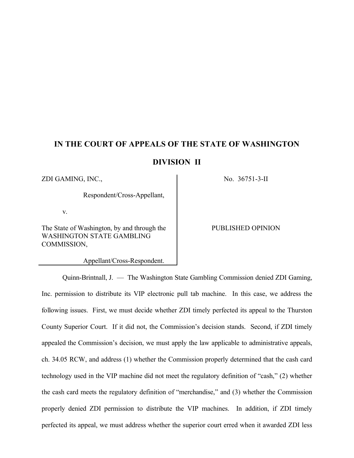# **IN THE COURT OF APPEALS OF THE STATE OF WASHINGTON**

**DIVISION II**

 $ZDI$  GAMING, INC.,  $NO$ ,  $36751-3-II$ 

Respondent/Cross-Appellant,

v.

The State of Washington, by and through the WASHINGTON STATE GAMBLING COMMISSION,

Appellant/Cross-Respondent.

PUBLISHED OPINION

Quinn-Brintnall, J. — The Washington State Gambling Commission denied ZDI Gaming, Inc. permission to distribute its VIP electronic pull tab machine. In this case, we address the following issues. First, we must decide whether ZDI timely perfected its appeal to the Thurston County Superior Court. If it did not, the Commission's decision stands. Second, if ZDI timely appealed the Commission's decision, we must apply the law applicable to administrative appeals, ch. 34.05 RCW, and address (1) whether the Commission properly determined that the cash card technology used in the VIP machine did not meet the regulatory definition of "cash," (2) whether the cash card meets the regulatory definition of "merchandise," and (3) whether the Commission properly denied ZDI permission to distribute the VIP machines. In addition, if ZDI timely perfected its appeal, we must address whether the superior court erred when it awarded ZDI less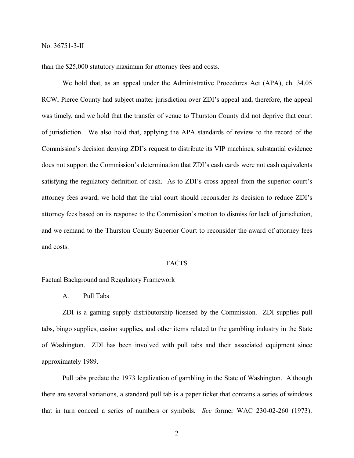than the \$25,000 statutory maximum for attorney fees and costs.

We hold that, as an appeal under the Administrative Procedures Act (APA), ch. 34.05 RCW, Pierce County had subject matter jurisdiction over ZDI's appeal and, therefore, the appeal was timely, and we hold that the transfer of venue to Thurston County did not deprive that court of jurisdiction. We also hold that, applying the APA standards of review to the record of the Commission's decision denying ZDI's request to distribute its VIP machines, substantial evidence does not support the Commission's determination that ZDI's cash cards were not cash equivalents satisfying the regulatory definition of cash. As to ZDI's cross-appeal from the superior court's attorney fees award, we hold that the trial court should reconsider its decision to reduce ZDI's attorney fees based on its response to the Commission's motion to dismiss for lack of jurisdiction, and we remand to the Thurston County Superior Court to reconsider the award of attorney fees and costs.

#### FACTS

Factual Background and Regulatory Framework

A. Pull Tabs

ZDI is a gaming supply distributorship licensed by the Commission. ZDI supplies pull tabs, bingo supplies, casino supplies, and other items related to the gambling industry in the State of Washington. ZDI has been involved with pull tabs and their associated equipment since approximately 1989.

Pull tabs predate the 1973 legalization of gambling in the State of Washington. Although there are several variations, a standard pull tab is a paper ticket that contains a series of windows that in turn conceal a series of numbers or symbols. *See* former WAC 230-02-260 (1973).

2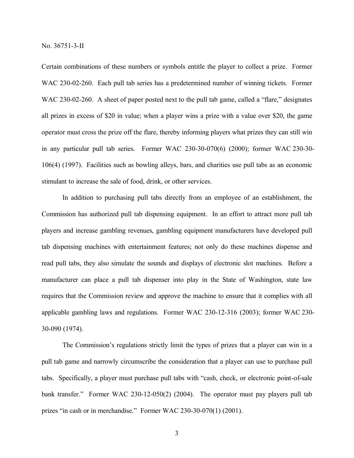Certain combinations of these numbers or symbols entitle the player to collect a prize. Former WAC 230-02-260. Each pull tab series has a predetermined number of winning tickets. Former WAC 230-02-260. A sheet of paper posted next to the pull tab game, called a "flare," designates all prizes in excess of \$20 in value; when a player wins a prize with a value over \$20, the game operator must cross the prize off the flare, thereby informing players what prizes they can still win in any particular pull tab series. Former WAC 230-30-070(6) (2000); former WAC 230-30- 106(4) (1997). Facilities such as bowling alleys, bars, and charities use pull tabs as an economic stimulant to increase the sale of food, drink, or other services.

In addition to purchasing pull tabs directly from an employee of an establishment, the Commission has authorized pull tab dispensing equipment. In an effort to attract more pull tab players and increase gambling revenues, gambling equipment manufacturers have developed pull tab dispensing machines with entertainment features; not only do these machines dispense and read pull tabs, they also simulate the sounds and displays of electronic slot machines. Before a manufacturer can place a pull tab dispenser into play in the State of Washington, state law requires that the Commission review and approve the machine to ensure that it complies with all applicable gambling laws and regulations. Former WAC 230-12-316 (2003); former WAC 230- 30-090 (1974).

The Commission's regulations strictly limit the types of prizes that a player can win in a pull tab game and narrowly circumscribe the consideration that a player can use to purchase pull tabs. Specifically, a player must purchase pull tabs with "cash, check, or electronic point-of-sale bank transfer." Former WAC 230-12-050(2) (2004). The operator must pay players pull tab prizes "in cash or in merchandise." Former WAC 230-30-070(1) (2001).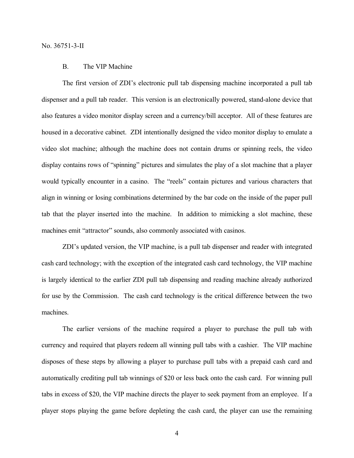## B. The VIP Machine

The first version of ZDI's electronic pull tab dispensing machine incorporated a pull tab dispenser and a pull tab reader. This version is an electronically powered, stand-alone device that also features a video monitor display screen and a currency/bill acceptor. All of these features are housed in a decorative cabinet. ZDI intentionally designed the video monitor display to emulate a video slot machine; although the machine does not contain drums or spinning reels, the video display contains rows of "spinning" pictures and simulates the play of a slot machine that a player would typically encounter in a casino. The "reels" contain pictures and various characters that align in winning or losing combinations determined by the bar code on the inside of the paper pull tab that the player inserted into the machine. In addition to mimicking a slot machine, these machines emit "attractor" sounds, also commonly associated with casinos.

ZDI's updated version, the VIP machine, is a pull tab dispenser and reader with integrated cash card technology; with the exception of the integrated cash card technology, the VIP machine is largely identical to the earlier ZDI pull tab dispensing and reading machine already authorized for use by the Commission. The cash card technology is the critical difference between the two machines.

The earlier versions of the machine required a player to purchase the pull tab with currency and required that players redeem all winning pull tabs with a cashier. The VIP machine disposes of these steps by allowing a player to purchase pull tabs with a prepaid cash card and automatically crediting pull tab winnings of \$20 or less back onto the cash card. For winning pull tabs in excess of \$20, the VIP machine directs the player to seek payment from an employee. If a player stops playing the game before depleting the cash card, the player can use the remaining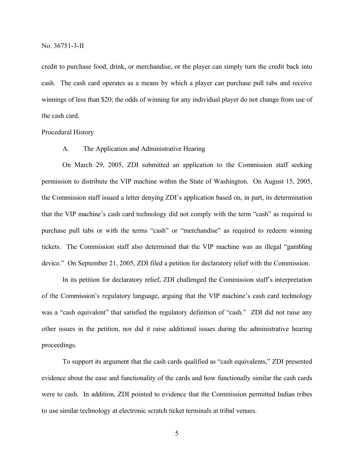credit to purchase food, drink, or merchandise, or the player can simply turn the credit back into cash. The cash card operates as a means by which a player can purchase pull tabs and receive winnings of less than \$20; the odds of winning for any individual player do not change from use of the cash card.

Procedural History

A. The Application and Administrative Hearing

On March 29, 2005, ZDI submitted an application to the Commission staff seeking permission to distribute the VIP machine within the State of Washington. On August 15, 2005, the Commission staff issued a letter denying ZDI's application based on, in part, its determination that the VIP machine's cash card technology did not comply with the term "cash" as required to purchase pull tabs or with the terms "cash" or "merchandise" as required to redeem winning tickets. The Commission staff also determined that the VIP machine was an illegal "gambling device." On September 21, 2005, ZDI filed a petition for declaratory relief with the Commission.

In its petition for declaratory relief, ZDI challenged the Commission staff's interpretation of the Commission's regulatory language, arguing that the VIP machine's cash card technology was a "cash equivalent" that satisfied the regulatory definition of "cash." ZDI did not raise any other issues in the petition, nor did it raise additional issues during the administrative hearing proceedings.

To support its argument that the cash cards qualified as "cash equivalents," ZDI presented evidence about the ease and functionality of the cards and how functionally similar the cash cards were to cash. In addition, ZDI pointed to evidence that the Commission permitted Indian tribes to use similar technology at electronic scratch ticket terminals at tribal venues.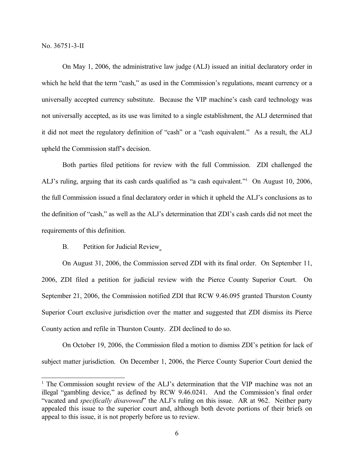On May 1, 2006, the administrative law judge (ALJ) issued an initial declaratory order in which he held that the term "cash," as used in the Commission's regulations, meant currency or a universally accepted currency substitute. Because the VIP machine's cash card technology was not universally accepted, as its use was limited to a single establishment, the ALJ determined that it did not meet the regulatory definition of "cash" or a "cash equivalent." As a result, the ALJ upheld the Commission staff's decision.

Both parties filed petitions for review with the full Commission. ZDI challenged the ALJ's ruling, arguing that its cash cards qualified as "a cash equivalent." <sup>1</sup> On August 10, 2006, the full Commission issued a final declaratory order in which it upheld the ALJ's conclusions as to the definition of "cash," as well as the ALJ's determination that ZDI's cash cards did not meet the requirements of this definition.

B. Petition for Judicial Review

On August 31, 2006, the Commission served ZDI with its final order. On September 11, 2006, ZDI filed a petition for judicial review with the Pierce County Superior Court. On September 21, 2006, the Commission notified ZDI that RCW 9.46.095 granted Thurston County Superior Court exclusive jurisdiction over the matter and suggested that ZDI dismiss its Pierce County action and refile in Thurston County. ZDI declined to do so.

On October 19, 2006, the Commission filed a motion to dismiss ZDI's petition for lack of subject matter jurisdiction. On December 1, 2006, the Pierce County Superior Court denied the

<sup>&</sup>lt;sup>1</sup> The Commission sought review of the ALJ's determination that the VIP machine was not an illegal "gambling device," as defined by RCW 9.46.0241. And the Commission's final order "vacated and *specifically disavowed*" the ALJ's ruling on this issue. AR at 962. Neither party appealed this issue to the superior court and, although both devote portions of their briefs on appeal to this issue, it is not properly before us to review.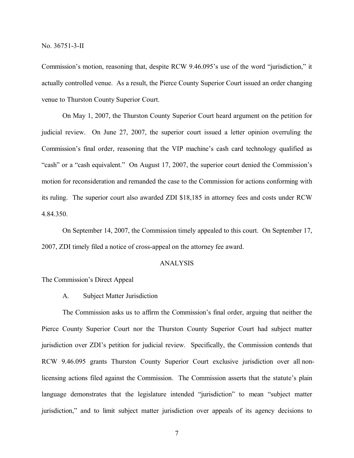Commission's motion, reasoning that, despite RCW 9.46.095's use of the word "jurisdiction," it actually controlled venue. As a result, the Pierce County Superior Court issued an order changing venue to Thurston County Superior Court.

On May 1, 2007, the Thurston County Superior Court heard argument on the petition for judicial review. On June 27, 2007, the superior court issued a letter opinion overruling the Commission's final order, reasoning that the VIP machine's cash card technology qualified as "cash" or a "cash equivalent." On August 17, 2007, the superior court denied the Commission's motion for reconsideration and remanded the case to the Commission for actions conforming with its ruling. The superior court also awarded ZDI \$18,185 in attorney fees and costs under RCW 4.84.350.

On September 14, 2007, the Commission timely appealed to this court. On September 17, 2007, ZDI timely filed a notice of cross-appeal on the attorney fee award.

### ANALYSIS

#### The Commission's Direct Appeal

A. Subject Matter Jurisdiction

The Commission asks us to affirm the Commission's final order, arguing that neither the Pierce County Superior Court nor the Thurston County Superior Court had subject matter jurisdiction over ZDI's petition for judicial review. Specifically, the Commission contends that RCW 9.46.095 grants Thurston County Superior Court exclusive jurisdiction over all nonlicensing actions filed against the Commission. The Commission asserts that the statute's plain language demonstrates that the legislature intended "jurisdiction" to mean "subject matter jurisdiction," and to limit subject matter jurisdiction over appeals of its agency decisions to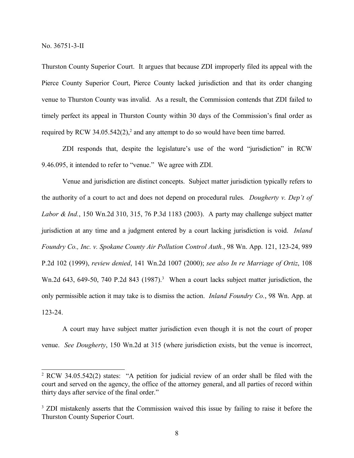Thurston County Superior Court. It argues that because ZDI improperly filed its appeal with the Pierce County Superior Court, Pierce County lacked jurisdiction and that its order changing venue to Thurston County was invalid. As a result, the Commission contends that ZDI failed to timely perfect its appeal in Thurston County within 30 days of the Commission's final order as required by RCW 34.05.542 $(2)$ , and any attempt to do so would have been time barred.

ZDI responds that, despite the legislature's use of the word "jurisdiction" in RCW 9.46.095, it intended to refer to "venue." We agree with ZDI.

Venue and jurisdiction are distinct concepts. Subject matter jurisdiction typically refers to the authority of a court to act and does not depend on procedural rules. *Dougherty v. Dep't of Labor & Ind.*, 150 Wn.2d 310, 315, 76 P.3d 1183 (2003). A party may challenge subject matter jurisdiction at any time and a judgment entered by a court lacking jurisdiction is void. *Inland Foundry Co., Inc. v. Spokane County Air Pollution Control Auth.*, 98 Wn. App. 121, 123-24, 989 P.2d 102 (1999), *review denied*, 141 Wn.2d 1007 (2000); *see also In re Marriage of Ortiz*, 108 Wn.2d 643, 649-50, 740 P.2d 843 (1987).<sup>3</sup> When a court lacks subject matter jurisdiction, the only permissible action it may take is to dismiss the action. *Inland Foundry Co.*, 98 Wn. App. at 123-24.

A court may have subject matter jurisdiction even though it is not the court of proper venue. *See Dougherty*, 150 Wn.2d at 315 (where jurisdiction exists, but the venue is incorrect,

<sup>2</sup> RCW 34.05.542(2) states: "A petition for judicial review of an order shall be filed with the court and served on the agency, the office of the attorney general, and all parties of record within thirty days after service of the final order."

<sup>&</sup>lt;sup>3</sup> ZDI mistakenly asserts that the Commission waived this issue by failing to raise it before the Thurston County Superior Court.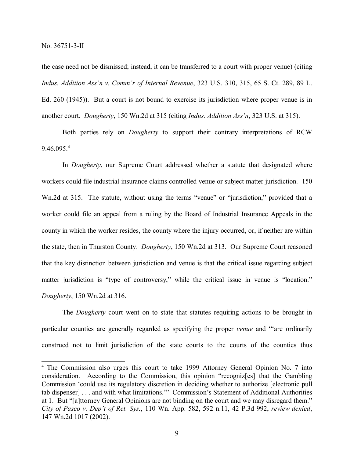the case need not be dismissed; instead, it can be transferred to a court with proper venue) (citing *Indus. Addition Ass'n v. Comm'r of Internal Revenue*, 323 U.S. 310, 315, 65 S. Ct. 289, 89 L. Ed. 260 (1945)). But a court is not bound to exercise its jurisdiction where proper venue is in another court. *Dougherty*, 150 Wn.2d at 315 (citing *Indus. Addition Ass'n*, 323 U.S. at 315).

Both parties rely on *Dougherty* to support their contrary interpretations of RCW 9.46.095.<sup>4</sup>

In *Dougherty*, our Supreme Court addressed whether a statute that designated where workers could file industrial insurance claims controlled venue or subject matter jurisdiction. 150 Wn.2d at 315. The statute, without using the terms "venue" or "jurisdiction," provided that a worker could file an appeal from a ruling by the Board of Industrial Insurance Appeals in the county in which the worker resides, the county where the injury occurred, or, if neither are within the state, then in Thurston County. *Dougherty*, 150 Wn.2d at 313. Our Supreme Court reasoned that the key distinction between jurisdiction and venue is that the critical issue regarding subject matter jurisdiction is "type of controversy," while the critical issue in venue is "location." *Dougherty*, 150 Wn.2d at 316.

The *Dougherty* court went on to state that statutes requiring actions to be brought in particular counties are generally regarded as specifying the proper *venue* and "'are ordinarily construed not to limit jurisdiction of the state courts to the courts of the counties thus

<sup>4</sup> The Commission also urges this court to take 1999 Attorney General Opinion No. 7 into consideration. According to the Commission, this opinion "recogniz[es] that the Gambling Commission 'could use its regulatory discretion in deciding whether to authorize [electronic pull tab dispenser] . . . and with what limitations.'" Commission's Statement of Additional Authorities at 1. But "[a]ttorney General Opinions are not binding on the court and we may disregard them." *City of Pasco v. Dep't of Ret. Sys.*, 110 Wn. App. 582, 592 n.11, 42 P.3d 992, *review denied*, 147 Wn.2d 1017 (2002).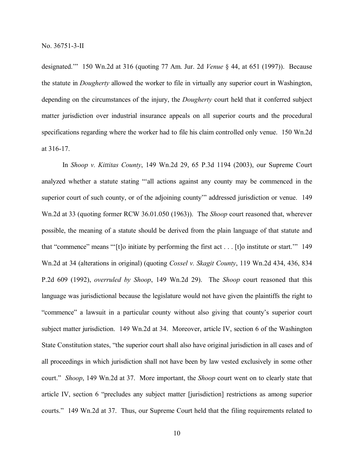designated.'" 150 Wn.2d at 316 (quoting 77 Am. Jur. 2d *Venue* § 44, at 651 (1997)). Because the statute in *Dougherty* allowed the worker to file in virtually any superior court in Washington, depending on the circumstances of the injury, the *Dougherty* court held that it conferred subject matter jurisdiction over industrial insurance appeals on all superior courts and the procedural specifications regarding where the worker had to file his claim controlled only venue. 150 Wn.2d at 316-17.

In *Shoop v. Kittitas County*, 149 Wn.2d 29, 65 P.3d 1194 (2003), our Supreme Court analyzed whether a statute stating "'all actions against any county may be commenced in the superior court of such county, or of the adjoining county" addressed jurisdiction or venue. 149 Wn.2d at 33 (quoting former RCW 36.01.050 (1963)). The *Shoop* court reasoned that, wherever possible, the meaning of a statute should be derived from the plain language of that statute and that "commence" means "'[t]o initiate by performing the first act . . . [t]o institute or start.'" 149 Wn.2d at 34 (alterations in original) (quoting *Cossel v. Skagit County*, 119 Wn.2d 434, 436, 834 P.2d 609 (1992), *overruled by Shoop*, 149 Wn.2d 29). The *Shoop* court reasoned that this language was jurisdictional because the legislature would not have given the plaintiffs the right to "commence" a lawsuit in a particular county without also giving that county's superior court subject matter jurisdiction. 149 Wn.2d at 34. Moreover, article IV, section 6 of the Washington State Constitution states, "the superior court shall also have original jurisdiction in all cases and of all proceedings in which jurisdiction shall not have been by law vested exclusively in some other court." *Shoop*, 149 Wn.2d at 37. More important, the *Shoop* court went on to clearly state that article IV, section 6 "precludes any subject matter [jurisdiction] restrictions as among superior courts." 149 Wn.2d at 37. Thus, our Supreme Court held that the filing requirements related to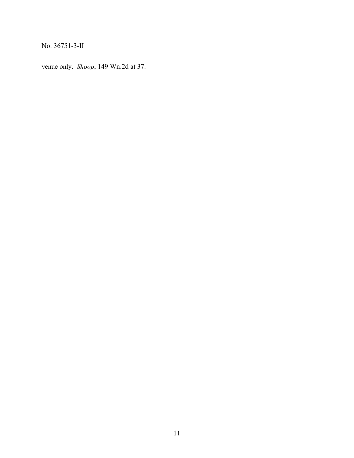venue only. *Shoop*, 149 Wn.2d at 37.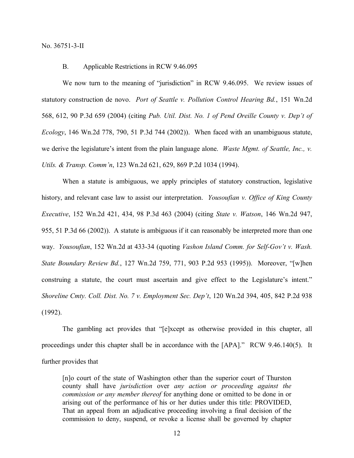## B. Applicable Restrictions in RCW 9.46.095

We now turn to the meaning of "jurisdiction" in RCW 9.46.095. We review issues of statutory construction de novo. *Port of Seattle v. Pollution Control Hearing Bd.*, 151 Wn.2d 568, 612, 90 P.3d 659 (2004) (citing *Pub. Util. Dist. No. 1 of Pend Oreille County v. Dep't of Ecology*, 146 Wn.2d 778, 790, 51 P.3d 744 (2002)). When faced with an unambiguous statute, we derive the legislature's intent from the plain language alone. *Waste Mgmt. of Seattle, Inc., v. Utils. & Transp. Comm'n*, 123 Wn.2d 621, 629, 869 P.2d 1034 (1994).

When a statute is ambiguous, we apply principles of statutory construction, legislative history, and relevant case law to assist our interpretation. *Yousoufian v. Office of King County Executive*, 152 Wn.2d 421, 434, 98 P.3d 463 (2004) (citing *State v. Watson*, 146 Wn.2d 947, 955, 51 P.3d 66 (2002)). A statute is ambiguous if it can reasonably be interpreted more than one way. *Yousoufian*, 152 Wn.2d at 433-34 (quoting *Vashon Island Comm. for Self-Gov't v. Wash. State Boundary Review Bd.*, 127 Wn.2d 759, 771, 903 P.2d 953 (1995)). Moreover, "[w]hen construing a statute, the court must ascertain and give effect to the Legislature's intent." *Shoreline Cmty. Coll. Dist. No. 7 v. Employment Sec. Dep't*, 120 Wn.2d 394, 405, 842 P.2d 938 (1992).

The gambling act provides that "[e]xcept as otherwise provided in this chapter, all proceedings under this chapter shall be in accordance with the [APA]." RCW 9.46.140(5). It further provides that

[n]o court of the state of Washington other than the superior court of Thurston county shall have *jurisdiction* over *any action or proceeding against the commission or any member thereof* for anything done or omitted to be done in or arising out of the performance of his or her duties under this title: PROVIDED, That an appeal from an adjudicative proceeding involving a final decision of the commission to deny, suspend, or revoke a license shall be governed by chapter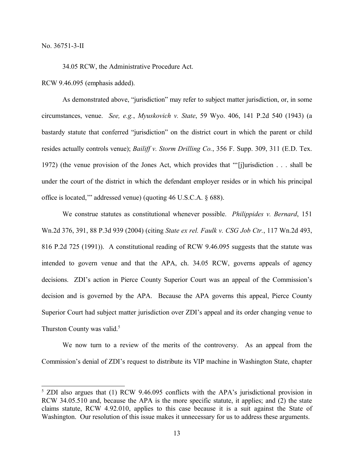34.05 RCW, the Administrative Procedure Act.

RCW 9.46.095 (emphasis added).

As demonstrated above, "jurisdiction" may refer to subject matter jurisdiction, or, in some circumstances, venue. *See, e.g.*, *Myuskovich v. State*, 59 Wyo. 406, 141 P.2d 540 (1943) (a bastardy statute that conferred "jurisdiction" on the district court in which the parent or child resides actually controls venue); *Bailiff v. Storm Drilling Co.*, 356 F. Supp. 309, 311 (E.D. Tex. 1972) (the venue provision of the Jones Act, which provides that "'[j]urisdiction . . . shall be under the court of the district in which the defendant employer resides or in which his principal office is located,'" addressed venue) (quoting 46 U.S.C.A. § 688).

We construe statutes as constitutional whenever possible. *Philippides v. Bernard*, 151 Wn.2d 376, 391, 88 P.3d 939 (2004) (citing *State ex rel. Faulk v. CSG Job Ctr.*, 117 Wn.2d 493, 816 P.2d 725 (1991)). A constitutional reading of RCW 9.46.095 suggests that the statute was intended to govern venue and that the APA, ch. 34.05 RCW, governs appeals of agency decisions. ZDI's action in Pierce County Superior Court was an appeal of the Commission's decision and is governed by the APA. Because the APA governs this appeal, Pierce County Superior Court had subject matter jurisdiction over ZDI's appeal and its order changing venue to Thurston County was valid.<sup>5</sup>

We now turn to a review of the merits of the controversy. As an appeal from the Commission's denial of ZDI's request to distribute its VIP machine in Washington State, chapter

<sup>&</sup>lt;sup>5</sup> ZDI also argues that (1) RCW 9.46.095 conflicts with the APA's jurisdictional provision in RCW 34.05.510 and, because the APA is the more specific statute, it applies; and (2) the state claims statute, RCW 4.92.010, applies to this case because it is a suit against the State of Washington. Our resolution of this issue makes it unnecessary for us to address these arguments.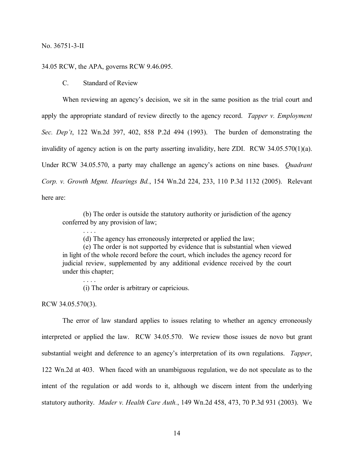### 34.05 RCW, the APA, governs RCW 9.46.095.

C. Standard of Review

When reviewing an agency's decision, we sit in the same position as the trial court and apply the appropriate standard of review directly to the agency record. *Tapper v. Employment Sec. Dep't*, 122 Wn.2d 397, 402, 858 P.2d 494 (1993). The burden of demonstrating the invalidity of agency action is on the party asserting invalidity, here ZDI. RCW 34.05.570(1)(a). Under RCW 34.05.570, a party may challenge an agency's actions on nine bases. *Quadrant Corp. v. Growth Mgmt. Hearings Bd.*, 154 Wn.2d 224, 233, 110 P.3d 1132 (2005). Relevant here are:

(b) The order is outside the statutory authority or jurisdiction of the agency conferred by any provision of law;

(d) The agency has erroneously interpreted or applied the law;

(e) The order is not supported by evidence that is substantial when viewed in light of the whole record before the court, which includes the agency record for judicial review, supplemented by any additional evidence received by the court under this chapter;

(i) The order is arbitrary or capricious.

RCW 34.05.570(3).

. . . .

. . . .

The error of law standard applies to issues relating to whether an agency erroneously interpreted or applied the law. RCW 34.05.570. We review those issues de novo but grant substantial weight and deference to an agency's interpretation of its own regulations. *Tapper*, 122 Wn.2d at 403. When faced with an unambiguous regulation, we do not speculate as to the intent of the regulation or add words to it, although we discern intent from the underlying statutory authority. *Mader v. Health Care Auth.*, 149 Wn.2d 458, 473, 70 P.3d 931 (2003). We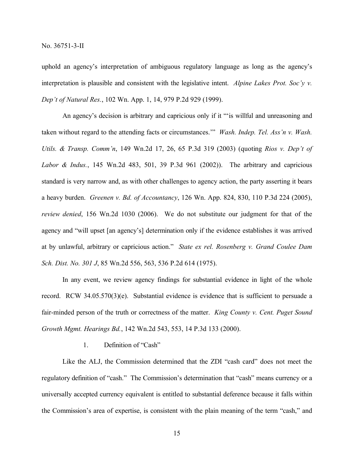uphold an agency's interpretation of ambiguous regulatory language as long as the agency's interpretation is plausible and consistent with the legislative intent. *Alpine Lakes Prot. Soc'y v. Dep't of Natural Res.*, 102 Wn. App. 1, 14, 979 P.2d 929 (1999).

An agency's decision is arbitrary and capricious only if it "'is willful and unreasoning and taken without regard to the attending facts or circumstances.'" *Wash. Indep. Tel. Ass'n v. Wash. Utils. & Transp. Comm'n*, 149 Wn.2d 17, 26, 65 P.3d 319 (2003) (quoting *Rios v. Dep't of Labor & Indus.*, 145 Wn.2d 483, 501, 39 P.3d 961 (2002)). The arbitrary and capricious standard is very narrow and, as with other challenges to agency action, the party asserting it bears a heavy burden. *Greenen v. Bd. of Accountancy*, 126 Wn. App. 824, 830, 110 P.3d 224 (2005), *review denied*, 156 Wn.2d 1030 (2006). We do not substitute our judgment for that of the agency and "will upset [an agency's] determination only if the evidence establishes it was arrived at by unlawful, arbitrary or capricious action." *State ex rel. Rosenberg v. Grand Coulee Dam Sch. Dist. No. 301 J*, 85 Wn.2d 556, 563, 536 P.2d 614 (1975).

In any event, we review agency findings for substantial evidence in light of the whole record. RCW 34.05.570(3)(e). Substantial evidence is evidence that is sufficient to persuade a fair-minded person of the truth or correctness of the matter. *King County v. Cent. Puget Sound Growth Mgmt. Hearings Bd.*, 142 Wn.2d 543, 553, 14 P.3d 133 (2000).

## 1. Definition of "Cash"

Like the ALJ, the Commission determined that the ZDI "cash card" does not meet the regulatory definition of "cash." The Commission's determination that "cash" means currency or a universally accepted currency equivalent is entitled to substantial deference because it falls within the Commission's area of expertise, is consistent with the plain meaning of the term "cash," and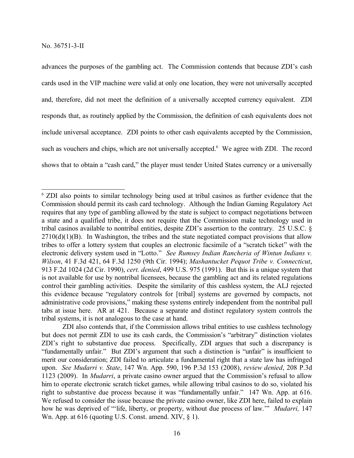advances the purposes of the gambling act. The Commission contends that because ZDI's cash cards used in the VIP machine were valid at only one location, they were not universally accepted and, therefore, did not meet the definition of a universally accepted currency equivalent. ZDI responds that, as routinely applied by the Commission, the definition of cash equivalents does not include universal acceptance. ZDI points to other cash equivalents accepted by the Commission, such as vouchers and chips, which are not universally accepted.<sup>6</sup> We agree with ZDI. The record shows that to obtain a "cash card," the player must tender United States currency or a universally

<sup>6</sup> ZDI also points to similar technology being used at tribal casinos as further evidence that the Commission should permit its cash card technology. Although the Indian Gaming Regulatory Act requires that any type of gambling allowed by the state is subject to compact negotiations between a state and a qualified tribe, it does not require that the Commission make technology used in tribal casinos available to nontribal entities, despite ZDI's assertion to the contrary. 25 U.S.C. §  $2710(d)(1)(B)$ . In Washington, the tribes and the state negotiated compact provisions that allow tribes to offer a lottery system that couples an electronic facsimile of a "scratch ticket" with the electronic delivery system used in "Lotto." *See Rumsey Indian Rancheria of Wintun Indians v. Wilson*, 41 F.3d 421, 64 F.3d 1250 (9th Cir. 1994); *Mashantucket Pequot Tribe v. Connecticut*, 913 F.2d 1024 (2d Cir. 1990), *cert. denied*, 499 U.S. 975 (1991). But this is a unique system that is not available for use by nontribal licensees, because the gambling act and its related regulations control their gambling activities. Despite the similarity of this cashless system, the ALJ rejected this evidence because "regulatory controls for [tribal] systems are governed by compacts, not administrative code provisions," making these systems entirely independent from the nontribal pull tabs at issue here. AR at 421. Because a separate and distinct regulatory system controls the tribal systems, it is not analogous to the case at hand.

ZDI also contends that, if the Commission allows tribal entities to use cashless technology but does not permit ZDI to use its cash cards, the Commission's "arbitrary" distinction violates ZDI's right to substantive due process. Specifically, ZDI argues that such a discrepancy is "fundamentally unfair." But ZDI's argument that such a distinction is "unfair" is insufficient to merit our consideration; ZDI failed to articulate a fundamental right that a state law has infringed upon. *See Mudarri v. State*, 147 Wn. App. 590, 196 P.3d 153 (2008), *review denied*, 208 P.3d 1123 (2009). In *Mudarri*, a private casino owner argued that the Commission's refusal to allow him to operate electronic scratch ticket games, while allowing tribal casinos to do so, violated his right to substantive due process because it was "fundamentally unfair." 147 Wn. App. at 616. We refused to consider the issue because the private casino owner, like ZDI here, failed to explain how he was deprived of "'life, liberty, or property, without due process of law.'" *Mudarri,* 147 Wn. App. at  $616$  (quoting U.S. Const. amend. XIV,  $\S$  1).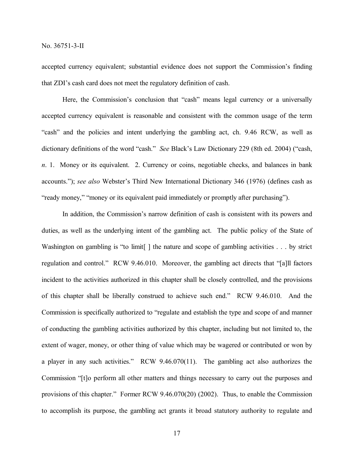accepted currency equivalent; substantial evidence does not support the Commission's finding that ZDI's cash card does not meet the regulatory definition of cash.

Here, the Commission's conclusion that "cash" means legal currency or a universally accepted currency equivalent is reasonable and consistent with the common usage of the term "cash" and the policies and intent underlying the gambling act, ch. 9.46 RCW, as well as dictionary definitions of the word "cash." *See* Black's Law Dictionary 229 (8th ed. 2004) ("cash, *n*. 1. Money or its equivalent. 2. Currency or coins, negotiable checks, and balances in bank accounts."); *see also* Webster's Third New International Dictionary 346 (1976) (defines cash as "ready money," "money or its equivalent paid immediately or promptly after purchasing").

In addition, the Commission's narrow definition of cash is consistent with its powers and duties, as well as the underlying intent of the gambling act. The public policy of the State of Washington on gambling is "to limit. I the nature and scope of gambling activities . . . by strict regulation and control." RCW 9.46.010. Moreover, the gambling act directs that "[a]ll factors incident to the activities authorized in this chapter shall be closely controlled, and the provisions of this chapter shall be liberally construed to achieve such end." RCW 9.46.010. And the Commission is specifically authorized to "regulate and establish the type and scope of and manner of conducting the gambling activities authorized by this chapter, including but not limited to, the extent of wager, money, or other thing of value which may be wagered or contributed or won by a player in any such activities." RCW 9.46.070(11). The gambling act also authorizes the Commission "[t]o perform all other matters and things necessary to carry out the purposes and provisions of this chapter." Former RCW 9.46.070(20) (2002). Thus, to enable the Commission to accomplish its purpose, the gambling act grants it broad statutory authority to regulate and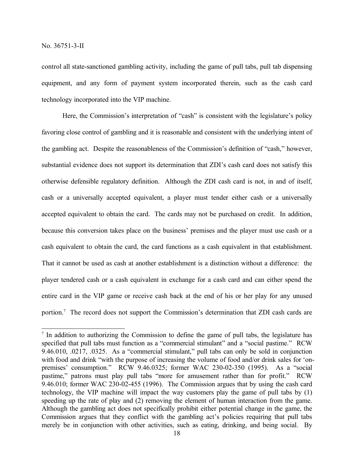control all state-sanctioned gambling activity, including the game of pull tabs, pull tab dispensing equipment, and any form of payment system incorporated therein, such as the cash card technology incorporated into the VIP machine.

Here, the Commission's interpretation of "cash" is consistent with the legislature's policy favoring close control of gambling and it is reasonable and consistent with the underlying intent of the gambling act. Despite the reasonableness of the Commission's definition of "cash," however, substantial evidence does not support its determination that ZDI's cash card does not satisfy this otherwise defensible regulatory definition. Although the ZDI cash card is not, in and of itself, cash or a universally accepted equivalent, a player must tender either cash or a universally accepted equivalent to obtain the card. The cards may not be purchased on credit. In addition, because this conversion takes place on the business' premises and the player must use cash or a cash equivalent to obtain the card, the card functions as a cash equivalent in that establishment. That it cannot be used as cash at another establishment is a distinction without a difference: the player tendered cash or a cash equivalent in exchange for a cash card and can either spend the entire card in the VIP game or receive cash back at the end of his or her play for any unused portion.<sup>7</sup> The record does not support the Commission's determination that ZDI cash cards are

<sup>&</sup>lt;sup>7</sup> In addition to authorizing the Commission to define the game of pull tabs, the legislature has specified that pull tabs must function as a "commercial stimulant" and a "social pastime." RCW 9.46.010, .0217, .0325. As a "commercial stimulant," pull tabs can only be sold in conjunction with food and drink "with the purpose of increasing the volume of food and/or drink sales for 'onpremises' consumption." RCW 9.46.0325; former WAC 230-02-350 (1995). As a "social pastime," patrons must play pull tabs "more for amusement rather than for profit." RCW 9.46.010; former WAC 230-02-455 (1996). The Commission argues that by using the cash card technology, the VIP machine will impact the way customers play the game of pull tabs by (1) speeding up the rate of play and (2) removing the element of human interaction from the game. Although the gambling act does not specifically prohibit either potential change in the game, the Commission argues that they conflict with the gambling act's policies requiring that pull tabs merely be in conjunction with other activities, such as eating, drinking, and being social. By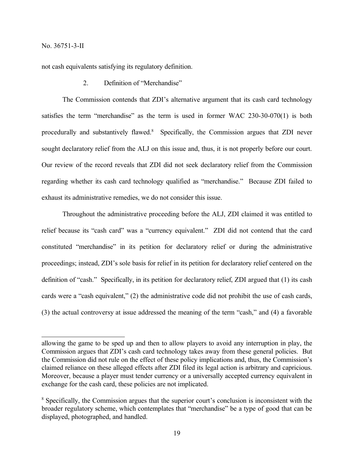not cash equivalents satisfying its regulatory definition.

2. Definition of "Merchandise"

The Commission contends that ZDI's alternative argument that its cash card technology satisfies the term "merchandise" as the term is used in former WAC 230-30-070(1) is both procedurally and substantively flawed.<sup>8</sup> Specifically, the Commission argues that ZDI never sought declaratory relief from the ALJ on this issue and, thus, it is not properly before our court. Our review of the record reveals that ZDI did not seek declaratory relief from the Commission regarding whether its cash card technology qualified as "merchandise." Because ZDI failed to exhaust its administrative remedies, we do not consider this issue.

Throughout the administrative proceeding before the ALJ, ZDI claimed it was entitled to relief because its "cash card" was a "currency equivalent." ZDI did not contend that the card constituted "merchandise" in its petition for declaratory relief or during the administrative proceedings; instead, ZDI's sole basis for relief in its petition for declaratory relief centered on the definition of "cash." Specifically, in its petition for declaratory relief, ZDI argued that (1) its cash cards were a "cash equivalent," (2) the administrative code did not prohibit the use of cash cards, (3) the actual controversy at issue addressed the meaning of the term "cash," and (4) a favorable

allowing the game to be sped up and then to allow players to avoid any interruption in play, the Commission argues that ZDI's cash card technology takes away from these general policies. But the Commission did not rule on the effect of these policy implications and, thus, the Commission's claimed reliance on these alleged effects after ZDI filed its legal action is arbitrary and capricious. Moreover, because a player must tender currency or a universally accepted currency equivalent in exchange for the cash card, these policies are not implicated.

<sup>8</sup> Specifically, the Commission argues that the superior court's conclusion is inconsistent with the broader regulatory scheme, which contemplates that "merchandise" be a type of good that can be displayed, photographed, and handled.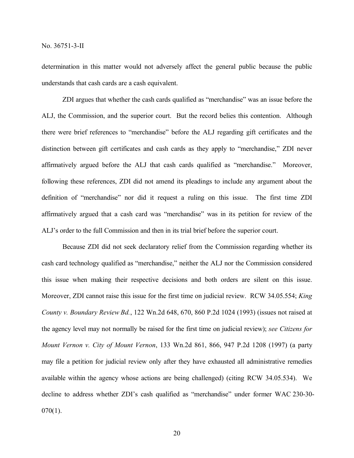determination in this matter would not adversely affect the general public because the public understands that cash cards are a cash equivalent.

ZDI argues that whether the cash cards qualified as "merchandise" was an issue before the ALJ, the Commission, and the superior court. But the record belies this contention. Although there were brief references to "merchandise" before the ALJ regarding gift certificates and the distinction between gift certificates and cash cards as they apply to "merchandise," ZDI never affirmatively argued before the ALJ that cash cards qualified as "merchandise." Moreover, following these references, ZDI did not amend its pleadings to include any argument about the definition of "merchandise" nor did it request a ruling on this issue. The first time ZDI affirmatively argued that a cash card was "merchandise" was in its petition for review of the ALJ's order to the full Commission and then in its trial brief before the superior court.

Because ZDI did not seek declaratory relief from the Commission regarding whether its cash card technology qualified as "merchandise," neither the ALJ nor the Commission considered this issue when making their respective decisions and both orders are silent on this issue. Moreover, ZDI cannot raise this issue for the first time on judicial review. RCW 34.05.554; *King County v. Boundary Review Bd.*, 122 Wn.2d 648, 670, 860 P.2d 1024 (1993) (issues not raised at the agency level may not normally be raised for the first time on judicial review); *see Citizens for Mount Vernon v. City of Mount Vernon*, 133 Wn.2d 861, 866, 947 P.2d 1208 (1997) (a party may file a petition for judicial review only after they have exhausted all administrative remedies available within the agency whose actions are being challenged) (citing RCW 34.05.534). We decline to address whether ZDI's cash qualified as "merchandise" under former WAC 230-30-  $070(1)$ .

20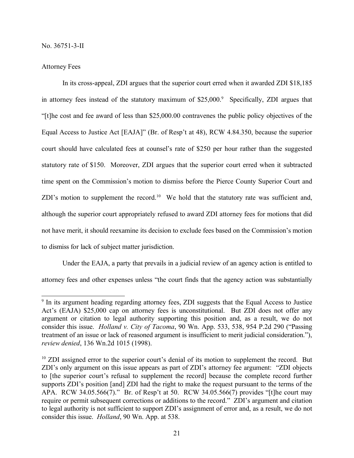#### Attorney Fees

In its cross-appeal, ZDI argues that the superior court erred when it awarded ZDI \$18,185 in attorney fees instead of the statutory maximum of \$25,000.<sup>9</sup> Specifically, ZDI argues that "[t]he cost and fee award of less than \$25,000.00 contravenes the public policy objectives of the Equal Access to Justice Act [EAJA]" (Br. of Resp't at 48), RCW 4.84.350, because the superior court should have calculated fees at counsel's rate of \$250 per hour rather than the suggested statutory rate of \$150. Moreover, ZDI argues that the superior court erred when it subtracted time spent on the Commission's motion to dismiss before the Pierce County Superior Court and ZDI's motion to supplement the record.<sup>10</sup> We hold that the statutory rate was sufficient and, although the superior court appropriately refused to award ZDI attorney fees for motions that did not have merit, it should reexamine its decision to exclude fees based on the Commission's motion to dismiss for lack of subject matter jurisdiction.

Under the EAJA, a party that prevails in a judicial review of an agency action is entitled to attorney fees and other expenses unless "the court finds that the agency action was substantially

<sup>&</sup>lt;sup>9</sup> In its argument heading regarding attorney fees, ZDI suggests that the Equal Access to Justice Act's (EAJA) \$25,000 cap on attorney fees is unconstitutional. But ZDI does not offer any argument or citation to legal authority supporting this position and, as a result, we do not consider this issue. *Holland v. City of Tacoma*, 90 Wn. App. 533, 538, 954 P.2d 290 ("Passing treatment of an issue or lack of reasoned argument is insufficient to merit judicial consideration."), *review denied*, 136 Wn.2d 1015 (1998).

<sup>&</sup>lt;sup>10</sup> ZDI assigned error to the superior court's denial of its motion to supplement the record. But ZDI's only argument on this issue appears as part of ZDI's attorney fee argument: "ZDI objects to [the superior court's refusal to supplement the record] because the complete record further supports ZDI's position [and] ZDI had the right to make the request pursuant to the terms of the APA. RCW 34.05.566(7)." Br. of Resp't at 50. RCW 34.05.566(7) provides "[t]he court may require or permit subsequent corrections or additions to the record." ZDI's argument and citation to legal authority is not sufficient to support ZDI's assignment of error and, as a result, we do not consider this issue. *Holland*, 90 Wn. App. at 538.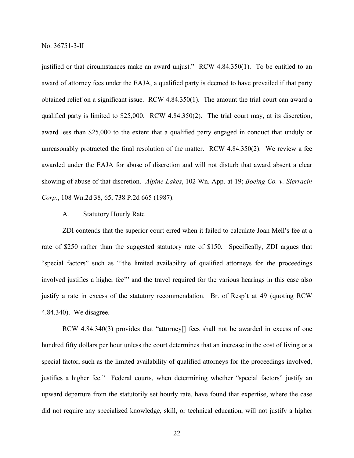justified or that circumstances make an award unjust." RCW 4.84.350(1). To be entitled to an award of attorney fees under the EAJA, a qualified party is deemed to have prevailed if that party obtained relief on a significant issue. RCW 4.84.350(1). The amount the trial court can award a qualified party is limited to \$25,000. RCW 4.84.350(2). The trial court may, at its discretion, award less than \$25,000 to the extent that a qualified party engaged in conduct that unduly or unreasonably protracted the final resolution of the matter. RCW 4.84.350(2). We review a fee awarded under the EAJA for abuse of discretion and will not disturb that award absent a clear showing of abuse of that discretion. *Alpine Lakes*, 102 Wn. App. at 19; *Boeing Co. v. Sierracin Corp.*, 108 Wn.2d 38, 65, 738 P.2d 665 (1987).

#### A. Statutory Hourly Rate

ZDI contends that the superior court erred when it failed to calculate Joan Mell's fee at a rate of \$250 rather than the suggested statutory rate of \$150. Specifically, ZDI argues that "special factors" such as "'the limited availability of qualified attorneys for the proceedings involved justifies a higher fee'" and the travel required for the various hearings in this case also justify a rate in excess of the statutory recommendation. Br. of Resp't at 49 (quoting RCW 4.84.340). We disagree.

RCW 4.84.340(3) provides that "attorney[] fees shall not be awarded in excess of one hundred fifty dollars per hour unless the court determines that an increase in the cost of living or a special factor, such as the limited availability of qualified attorneys for the proceedings involved, justifies a higher fee." Federal courts, when determining whether "special factors" justify an upward departure from the statutorily set hourly rate, have found that expertise, where the case did not require any specialized knowledge, skill, or technical education, will not justify a higher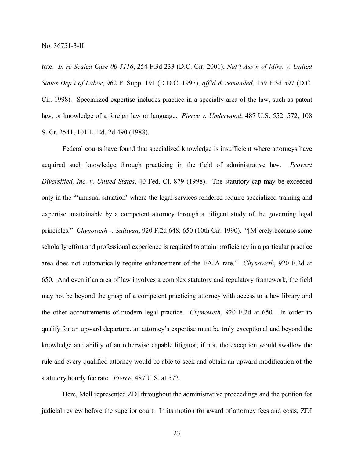rate. *In re Sealed Case 00-5116*, 254 F.3d 233 (D.C. Cir. 2001); *Nat'l Ass'n of Mfrs. v. United States Dep't of Labor*, 962 F. Supp. 191 (D.D.C. 1997), *aff'd & remanded*, 159 F.3d 597 (D.C. Cir. 1998). Specialized expertise includes practice in a specialty area of the law, such as patent law, or knowledge of a foreign law or language. *Pierce v. Underwood*, 487 U.S. 552, 572, 108 S. Ct. 2541, 101 L. Ed. 2d 490 (1988).

Federal courts have found that specialized knowledge is insufficient where attorneys have acquired such knowledge through practicing in the field of administrative law. *Prowest Diversified, Inc. v. United States*, 40 Fed. Cl. 879 (1998). The statutory cap may be exceeded only in the "'unusual situation' where the legal services rendered require specialized training and expertise unattainable by a competent attorney through a diligent study of the governing legal principles." *Chynoweth v. Sullivan*, 920 F.2d 648, 650 (10th Cir. 1990). "[M]erely because some scholarly effort and professional experience is required to attain proficiency in a particular practice area does not automatically require enhancement of the EAJA rate." *Chynoweth*, 920 F.2d at 650. And even if an area of law involves a complex statutory and regulatory framework, the field may not be beyond the grasp of a competent practicing attorney with access to a law library and the other accoutrements of modern legal practice. *Chynoweth*, 920 F.2d at 650. In order to qualify for an upward departure, an attorney's expertise must be truly exceptional and beyond the knowledge and ability of an otherwise capable litigator; if not, the exception would swallow the rule and every qualified attorney would be able to seek and obtain an upward modification of the statutory hourly fee rate. *Pierce*, 487 U.S. at 572.

Here, Mell represented ZDI throughout the administrative proceedings and the petition for judicial review before the superior court. In its motion for award of attorney fees and costs, ZDI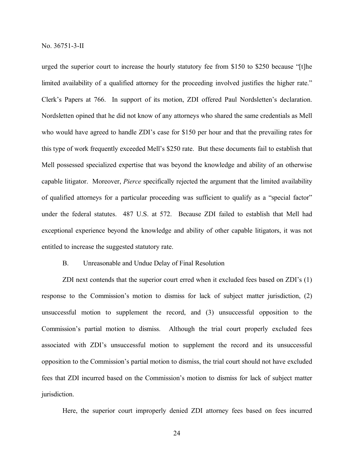urged the superior court to increase the hourly statutory fee from \$150 to \$250 because "[t]he limited availability of a qualified attorney for the proceeding involved justifies the higher rate." Clerk's Papers at 766. In support of its motion, ZDI offered Paul Nordsletten's declaration. Nordsletten opined that he did not know of any attorneys who shared the same credentials as Mell who would have agreed to handle ZDI's case for \$150 per hour and that the prevailing rates for this type of work frequently exceeded Mell's \$250 rate. But these documents fail to establish that Mell possessed specialized expertise that was beyond the knowledge and ability of an otherwise capable litigator. Moreover, *Pierce* specifically rejected the argument that the limited availability of qualified attorneys for a particular proceeding was sufficient to qualify as a "special factor" under the federal statutes. 487 U.S. at 572. Because ZDI failed to establish that Mell had exceptional experience beyond the knowledge and ability of other capable litigators, it was not entitled to increase the suggested statutory rate.

#### B. Unreasonable and Undue Delay of Final Resolution

ZDI next contends that the superior court erred when it excluded fees based on ZDI's (1) response to the Commission's motion to dismiss for lack of subject matter jurisdiction, (2) unsuccessful motion to supplement the record, and (3) unsuccessful opposition to the Commission's partial motion to dismiss. Although the trial court properly excluded fees associated with ZDI's unsuccessful motion to supplement the record and its unsuccessful opposition to the Commission's partial motion to dismiss, the trial court should not have excluded fees that ZDI incurred based on the Commission's motion to dismiss for lack of subject matter jurisdiction.

Here, the superior court improperly denied ZDI attorney fees based on fees incurred

24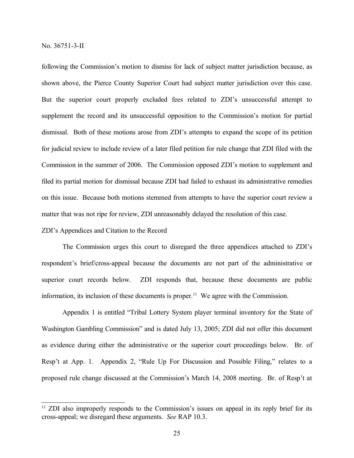following the Commission's motion to dismiss for lack of subject matter jurisdiction because, as shown above, the Pierce County Superior Court had subject matter jurisdiction over this case. But the superior court properly excluded fees related to ZDI's unsuccessful attempt to supplement the record and its unsuccessful opposition to the Commission's motion for partial dismissal. Both of these motions arose from ZDI's attempts to expand the scope of its petition for judicial review to include review of a later filed petition for rule change that ZDI filed with the Commission in the summer of 2006. The Commission opposed ZDI's motion to supplement and filed its partial motion for dismissal because ZDI had failed to exhaust its administrative remedies on this issue. Because both motions stemmed from attempts to have the superior court review a matter that was not ripe for review, ZDI unreasonably delayed the resolution of this case.

## ZDI's Appendices and Citation to the Record

The Commission urges this court to disregard the three appendices attached to ZDI's respondent's brief/cross-appeal because the documents are not part of the administrative or superior court records below. ZDI responds that, because these documents are public information, its inclusion of these documents is proper.<sup>11</sup> We agree with the Commission.

Appendix 1 is entitled "Tribal Lottery System player terminal inventory for the State of Washington Gambling Commission" and is dated July 13, 2005; ZDI did not offer this document as evidence during either the administrative or the superior court proceedings below. Br. of Resp't at App. 1. Appendix 2, "Rule Up For Discussion and Possible Filing," relates to a proposed rule change discussed at the Commission's March 14, 2008 meeting. Br. of Resp't at

<sup>&</sup>lt;sup>11</sup> ZDI also improperly responds to the Commission's issues on appeal in its reply brief for its cross-appeal; we disregard these arguments. *See* RAP 10.3.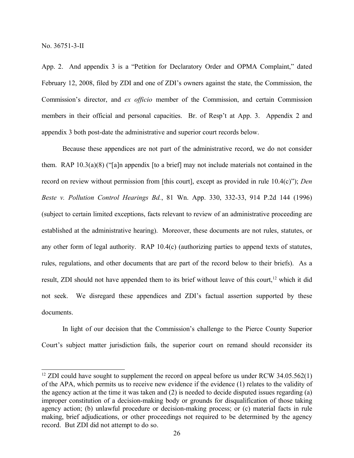App. 2. And appendix 3 is a "Petition for Declaratory Order and OPMA Complaint," dated February 12, 2008, filed by ZDI and one of ZDI's owners against the state, the Commission, the Commission's director, and *ex officio* member of the Commission, and certain Commission members in their official and personal capacities. Br. of Resp't at App. 3. Appendix 2 and appendix 3 both post-date the administrative and superior court records below.

Because these appendices are not part of the administrative record, we do not consider them. RAP 10.3(a)(8) ("[a]n appendix [to a brief] may not include materials not contained in the record on review without permission from [this court], except as provided in rule 10.4(c)"); *Den Beste v. Pollution Control Hearings Bd.*, 81 Wn. App. 330, 332-33, 914 P.2d 144 (1996) (subject to certain limited exceptions, facts relevant to review of an administrative proceeding are established at the administrative hearing). Moreover, these documents are not rules, statutes, or any other form of legal authority. RAP 10.4(c) (authorizing parties to append texts of statutes, rules, regulations, and other documents that are part of the record below to their briefs). As a result, ZDI should not have appended them to its brief without leave of this court,<sup>12</sup> which it did not seek. We disregard these appendices and ZDI's factual assertion supported by these documents.

In light of our decision that the Commission's challenge to the Pierce County Superior Court's subject matter jurisdiction fails, the superior court on remand should reconsider its

<sup>&</sup>lt;sup>12</sup> ZDI could have sought to supplement the record on appeal before us under RCW 34.05.562(1) of the APA, which permits us to receive new evidence if the evidence (1) relates to the validity of the agency action at the time it was taken and (2) is needed to decide disputed issues regarding (a) improper constitution of a decision-making body or grounds for disqualification of those taking agency action; (b) unlawful procedure or decision-making process; or (c) material facts in rule making, brief adjudications, or other proceedings not required to be determined by the agency record. But ZDI did not attempt to do so.